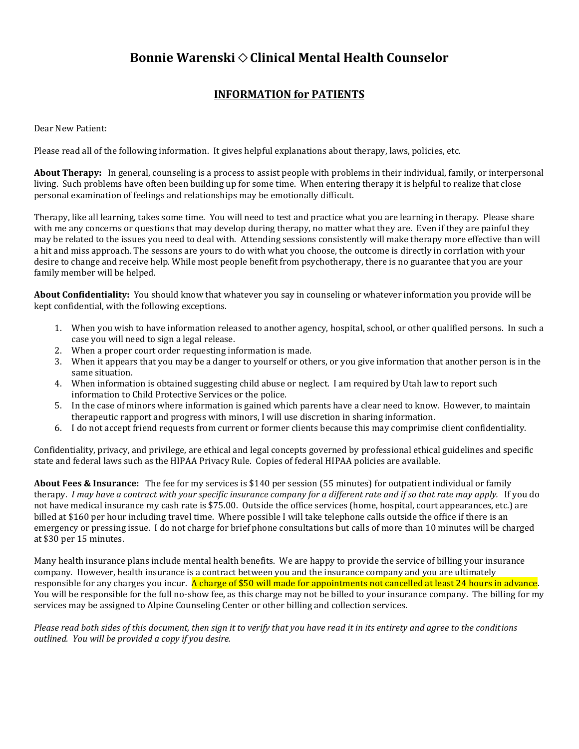## **Bonnie Warenski**  $\diamond$  **Clinical Mental Health Counselor**

## **INFORMATION for PATIENTS**

Dear New Patient:

Please read all of the following information. It gives helpful explanations about therapy, laws, policies, etc.

**About Therapy:** In general, counseling is a process to assist people with problems in their individual, family, or interpersonal living. Such problems have often been building up for some time. When entering therapy it is helpful to realize that close personal examination of feelings and relationships may be emotionally difficult.

Therapy, like all learning, takes some time. You will need to test and practice what you are learning in therapy. Please share with me any concerns or questions that may develop during therapy, no matter what they are. Even if they are painful they may be related to the issues you need to deal with. Attending sessions consistently will make therapy more effective than will a hit and miss approach. The sessons are yours to do with what you choose, the outcome is directly in corrlation with your desire to change and receive help. While most people benefit from psychotherapy, there is no guarantee that you are your family member will be helped.

**About Confidentiality:** You should know that whatever you say in counseling or whatever information you provide will be kept confidential, with the following exceptions.

- 1. When you wish to have information released to another agency, hospital, school, or other qualified persons. In such a case you will need to sign a legal release.
- 2. When a proper court order requesting information is made.
- 3. When it appears that you may be a danger to yourself or others, or you give information that another person is in the same situation.
- 4. When information is obtained suggesting child abuse or neglect. I am required by Utah law to report such information to Child Protective Services or the police.
- 5. In the case of minors where information is gained which parents have a clear need to know. However, to maintain therapeutic rapport and progress with minors, I will use discretion in sharing information.
- 6. I do not accept friend requests from current or former clients because this may comprimise client confidentiality.

Confidentiality, privacy, and privilege, are ethical and legal concepts governed by professional ethical guidelines and specific state and federal laws such as the HIPAA Privacy Rule. Copies of federal HIPAA policies are available.

**About Fees & Insurance:** The fee for my services is \$140 per session (55 minutes) for outpatient individual or family therapy. *I may have a contract with your specific insurance company for a different rate and if so that rate may apply.* If you do not have medical insurance my cash rate is \$75.00. Outside the office services (home, hospital, court appearances, etc.) are billed at \$160 per hour including travel time. Where possible I will take telephone calls outside the office if there is an emergency or pressing issue. I do not charge for brief phone consultations but calls of more than 10 minutes will be charged at \$30 per 15 minutes.

Many health insurance plans include mental health benefits. We are happy to provide the service of billing your insurance company. However, health insurance is a contract between you and the insurance company and you are ultimately responsible for any charges you incur. A charge of \$50 will made for appointments not cancelled at least 24 hours in advance. You will be responsible for the full no-show fee, as this charge may not be billed to your insurance company. The billing for my services may be assigned to Alpine Counseling Center or other billing and collection services.

*Please read both sides of this document, then sign it to verify that you have read it in its entirety and agree to the conditions outlined. You will be provided a copy if you desire.*